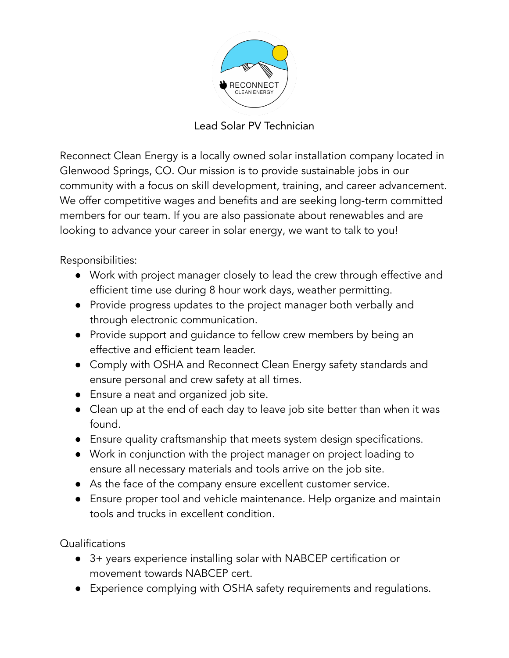

Lead Solar PV Technician

Reconnect Clean Energy is a locally owned solar installation company located in Glenwood Springs, CO. Our mission is to provide sustainable jobs in our community with a focus on skill development, training, and career advancement. We offer competitive wages and benefits and are seeking long-term committed members for our team. If you are also passionate about renewables and are looking to advance your career in solar energy, we want to talk to you!

Responsibilities:

- Work with project manager closely to lead the crew through effective and efficient time use during 8 hour work days, weather permitting.
- Provide progress updates to the project manager both verbally and through electronic communication.
- Provide support and guidance to fellow crew members by being an effective and efficient team leader.
- Comply with OSHA and Reconnect Clean Energy safety standards and ensure personal and crew safety at all times.
- Ensure a neat and organized job site.
- Clean up at the end of each day to leave job site better than when it was found.
- Ensure quality craftsmanship that meets system design specifications.
- Work in conjunction with the project manager on project loading to ensure all necessary materials and tools arrive on the job site.
- As the face of the company ensure excellent customer service.
- Ensure proper tool and vehicle maintenance. Help organize and maintain tools and trucks in excellent condition.

Qualifications

- 3+ years experience installing solar with NABCEP certification or movement towards NABCEP cert.
- Experience complying with OSHA safety requirements and regulations.